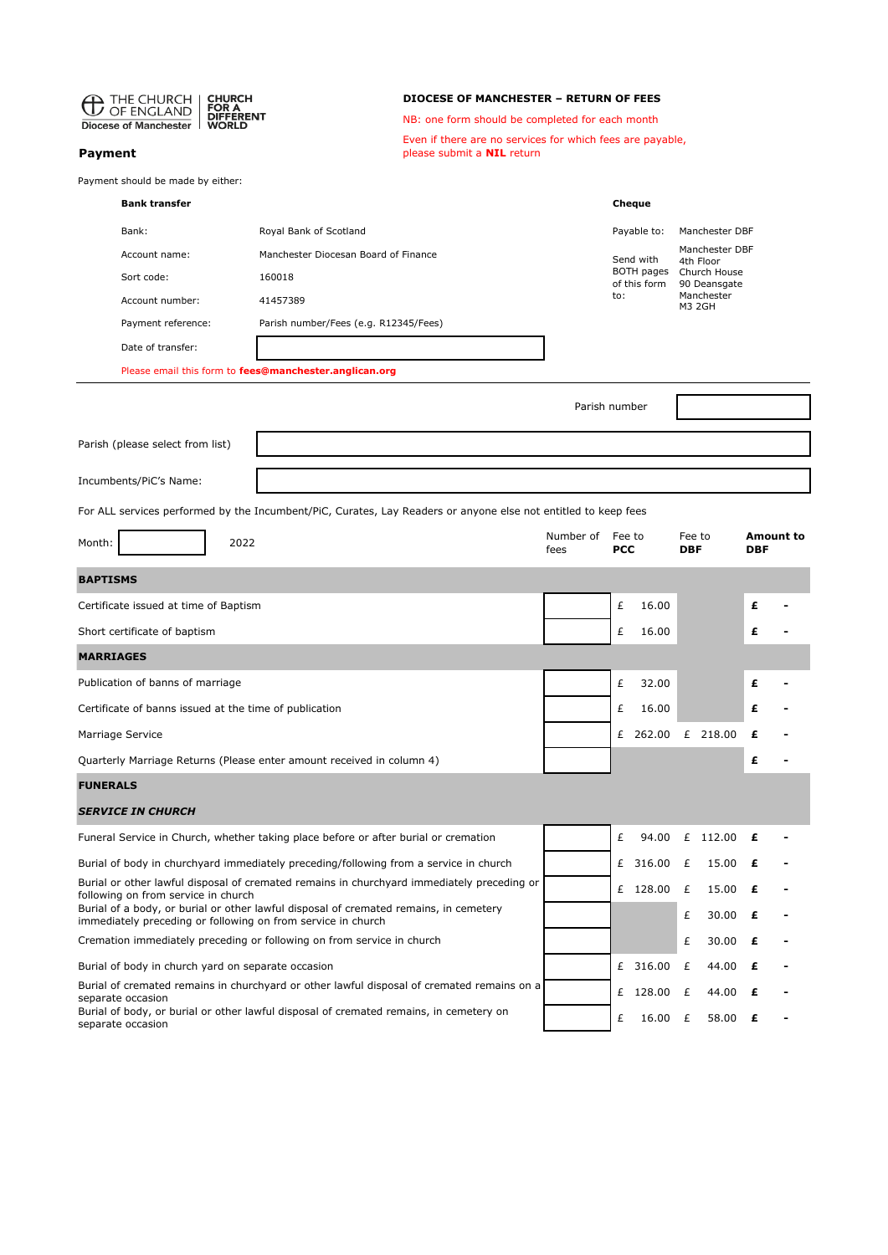| THE CHURCH<br><b>CHURCH</b>                                                                                                                                                                                                |                                                        | <b>DIOCESE OF MANCHESTER - RETURN OF FEES</b>                                                  |                                                 |                               |                                         |                      |                      |                                |  |  |  |
|----------------------------------------------------------------------------------------------------------------------------------------------------------------------------------------------------------------------------|--------------------------------------------------------|------------------------------------------------------------------------------------------------|-------------------------------------------------|-------------------------------|-----------------------------------------|----------------------|----------------------|--------------------------------|--|--|--|
| OF ENGLAND<br><b>DIFFERENT</b><br><b>Diocese of Manchester</b><br>WORLD                                                                                                                                                    |                                                        |                                                                                                | NB: one form should be completed for each month |                               |                                         |                      |                      |                                |  |  |  |
| Payment                                                                                                                                                                                                                    |                                                        | Even if there are no services for which fees are payable,<br>please submit a <b>NIL</b> return |                                                 |                               |                                         |                      |                      |                                |  |  |  |
| Payment should be made by either:                                                                                                                                                                                          |                                                        |                                                                                                |                                                 |                               |                                         |                      |                      |                                |  |  |  |
| <b>Bank transfer</b>                                                                                                                                                                                                       |                                                        |                                                                                                |                                                 | Cheque                        |                                         |                      |                      |                                |  |  |  |
| Bank:                                                                                                                                                                                                                      | Royal Bank of Scotland                                 |                                                                                                |                                                 | Payable to:<br>Manchester DBF |                                         |                      |                      |                                |  |  |  |
| Account name:                                                                                                                                                                                                              | Manchester Diocesan Board of Finance                   |                                                                                                |                                                 | Send with                     |                                         |                      |                      | Manchester DBF<br>4th Floor    |  |  |  |
| Sort code:                                                                                                                                                                                                                 | of this form                                           |                                                                                                |                                                 |                               | BOTH pages Church House<br>90 Deansgate |                      |                      |                                |  |  |  |
| Account number:                                                                                                                                                                                                            | 41457389                                               |                                                                                                |                                                 | to:                           |                                         |                      | Manchester<br>M3 2GH |                                |  |  |  |
| Payment reference:                                                                                                                                                                                                         | Parish number/Fees (e.g. R12345/Fees)                  |                                                                                                |                                                 |                               |                                         |                      |                      |                                |  |  |  |
| Date of transfer:                                                                                                                                                                                                          |                                                        |                                                                                                |                                                 |                               |                                         |                      |                      |                                |  |  |  |
|                                                                                                                                                                                                                            | Please email this form to fees@manchester.anglican.org |                                                                                                |                                                 |                               |                                         |                      |                      |                                |  |  |  |
|                                                                                                                                                                                                                            |                                                        |                                                                                                | Parish number                                   |                               |                                         |                      |                      |                                |  |  |  |
| Parish (please select from list)                                                                                                                                                                                           |                                                        |                                                                                                |                                                 |                               |                                         |                      |                      |                                |  |  |  |
| Incumbents/PiC's Name:                                                                                                                                                                                                     |                                                        |                                                                                                |                                                 |                               |                                         |                      |                      |                                |  |  |  |
|                                                                                                                                                                                                                            |                                                        |                                                                                                |                                                 |                               |                                         |                      |                      |                                |  |  |  |
| For ALL services performed by the Incumbent/PiC, Curates, Lay Readers or anyone else not entitled to keep fees                                                                                                             |                                                        |                                                                                                | Number of<br>Fee to                             |                               |                                         |                      |                      |                                |  |  |  |
| 2022<br>Month:                                                                                                                                                                                                             |                                                        |                                                                                                | fees                                            | <b>PCC</b>                    |                                         | Fee to<br><b>DBF</b> |                      | <b>Amount to</b><br><b>DBF</b> |  |  |  |
| <b>BAPTISMS</b>                                                                                                                                                                                                            |                                                        |                                                                                                |                                                 |                               |                                         |                      |                      |                                |  |  |  |
| Certificate issued at time of Baptism                                                                                                                                                                                      |                                                        |                                                                                                |                                                 | £                             | 16.00                                   |                      |                      | £                              |  |  |  |
| Short certificate of baptism                                                                                                                                                                                               |                                                        |                                                                                                | £                                               | 16.00                         |                                         |                      | £                    |                                |  |  |  |
| <b>MARRIAGES</b>                                                                                                                                                                                                           |                                                        |                                                                                                |                                                 |                               |                                         |                      |                      |                                |  |  |  |
| Publication of banns of marriage                                                                                                                                                                                           |                                                        |                                                                                                |                                                 | £                             | 32.00                                   |                      |                      | £                              |  |  |  |
| Certificate of banns issued at the time of publication                                                                                                                                                                     |                                                        |                                                                                                |                                                 | £                             | 16.00                                   |                      |                      |                                |  |  |  |
| Marriage Service                                                                                                                                                                                                           |                                                        |                                                                                                |                                                 |                               | £ 262.00 £ 218.00                       |                      |                      | £                              |  |  |  |
| Quarterly Marriage Returns (Please enter amount received in column 4)                                                                                                                                                      |                                                        |                                                                                                |                                                 |                               |                                         |                      |                      | £                              |  |  |  |
| <b>FUNERALS</b>                                                                                                                                                                                                            |                                                        |                                                                                                |                                                 |                               |                                         |                      |                      |                                |  |  |  |
| <b>SERVICE IN CHURCH</b>                                                                                                                                                                                                   |                                                        |                                                                                                |                                                 |                               |                                         |                      |                      |                                |  |  |  |
| Funeral Service in Church, whether taking place before or after burial or cremation                                                                                                                                        |                                                        |                                                                                                |                                                 | £                             | 94.00                                   |                      | £ 112.00 $\epsilon$  |                                |  |  |  |
| Burial of body in churchyard immediately preceding/following from a service in church                                                                                                                                      |                                                        |                                                                                                |                                                 |                               | £ 316.00 £                              |                      | 15.00                | £                              |  |  |  |
| Burial or other lawful disposal of cremated remains in churchyard immediately preceding or<br>following on from service in church<br>Burial of a body, or burial or other lawful disposal of cremated remains, in cemetery |                                                        |                                                                                                |                                                 |                               | £ 128.00 £                              | £                    | 15.00<br>30.00       | £<br>£                         |  |  |  |
| immediately preceding or following on from service in church<br>Cremation immediately preceding or following on from service in church                                                                                     |                                                        |                                                                                                |                                                 |                               |                                         | £                    | 30.00                | £                              |  |  |  |
| Burial of body in church yard on separate occasion                                                                                                                                                                         |                                                        |                                                                                                |                                                 |                               | £ 316.00                                | £                    | 44.00                | £                              |  |  |  |
| Burial of cremated remains in churchyard or other lawful disposal of cremated remains on a                                                                                                                                 |                                                        |                                                                                                |                                                 |                               |                                         |                      |                      |                                |  |  |  |
| separate occasion<br>Burial of body, or burial or other lawful disposal of cremated remains, in cemetery on<br>separate occasion                                                                                           |                                                        |                                                                                                |                                                 | £                             | £ 128.00 £<br>16.00 £                   |                      | 44.00<br>58.00       | £                              |  |  |  |